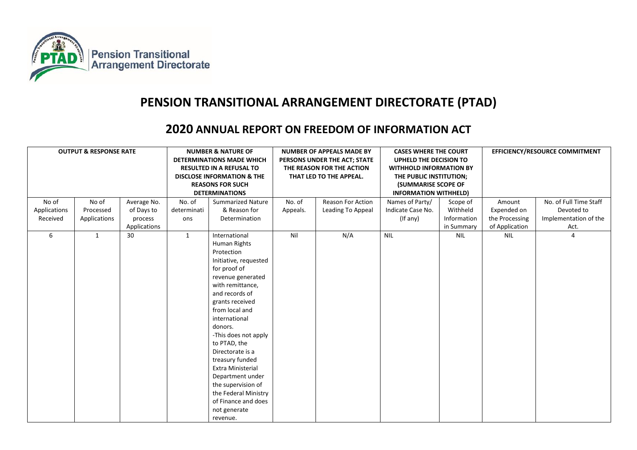

## **PENSION TRANSITIONAL ARRANGEMENT DIRECTORATE (PTAD)**

## **2020 ANNUAL REPORT ON FREEDOM OF INFORMATION ACT**

| No of<br>Applications<br>Received | <b>OUTPUT &amp; RESPONSE RATE</b><br>No of<br>Average No.<br>Processed<br>of Days to<br>Applications<br>process<br>Applications |    | <b>NUMBER &amp; NATURE OF</b><br><b>DETERMINATIONS MADE WHICH</b><br><b>RESULTED IN A REFUSAL TO</b><br><b>DISCLOSE INFORMATION &amp; THE</b><br><b>REASONS FOR SUCH</b><br><b>DETERMINATIONS</b><br>No. of<br><b>Summarized Nature</b><br>& Reason for<br>determinati<br>Determination<br>ons |                                                                                                                                                                                                                                                                                                                                                                                                                                                  | <b>NUMBER OF APPEALS MADE BY</b><br>PERSONS UNDER THE ACT; STATE<br>THE REASON FOR THE ACTION<br>THAT LED TO THE APPEAL.<br>No. of<br>Reason For Action<br>Leading To Appeal<br>Appeals. |     | <b>CASES WHERE THE COURT</b><br>UPHELD THE DECISION TO<br><b>WITHHOLD INFORMATION BY</b><br>THE PUBLIC INSTITUTION;<br><b>(SUMMARISE SCOPE OF</b><br><b>INFORMATION WITHHELD)</b><br>Names of Party/<br>Scope of<br>Withheld<br>Indicate Case No.<br>(If any)<br>Information<br>in Summary |            | EFFICIENCY/RESOURCE COMMITMENT<br>No. of Full Time Staff<br>Amount<br>Expended on<br>Devoted to<br>Implementation of the<br>the Processing<br>of Application<br>Act. |                |
|-----------------------------------|---------------------------------------------------------------------------------------------------------------------------------|----|------------------------------------------------------------------------------------------------------------------------------------------------------------------------------------------------------------------------------------------------------------------------------------------------|--------------------------------------------------------------------------------------------------------------------------------------------------------------------------------------------------------------------------------------------------------------------------------------------------------------------------------------------------------------------------------------------------------------------------------------------------|------------------------------------------------------------------------------------------------------------------------------------------------------------------------------------------|-----|--------------------------------------------------------------------------------------------------------------------------------------------------------------------------------------------------------------------------------------------------------------------------------------------|------------|----------------------------------------------------------------------------------------------------------------------------------------------------------------------|----------------|
| 6                                 | 1                                                                                                                               | 30 | $\mathbf{1}$                                                                                                                                                                                                                                                                                   | International<br>Human Rights<br>Protection<br>Initiative, requested<br>for proof of<br>revenue generated<br>with remittance,<br>and records of<br>grants received<br>from local and<br>international<br>donors.<br>-This does not apply<br>to PTAD, the<br>Directorate is a<br>treasury funded<br><b>Extra Ministerial</b><br>Department under<br>the supervision of<br>the Federal Ministry<br>of Finance and does<br>not generate<br>revenue. | Nil                                                                                                                                                                                      | N/A | <b>NIL</b>                                                                                                                                                                                                                                                                                 | <b>NIL</b> | <b>NIL</b>                                                                                                                                                           | $\overline{4}$ |